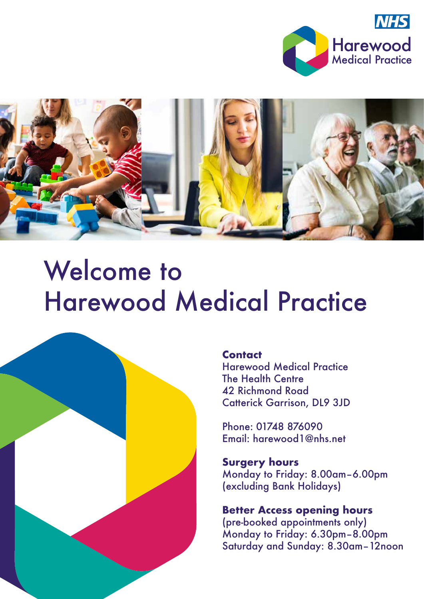



# Welcome to Harewood Medical Practice



### **Contact**

Harewood Medical Practice The Health Centre 42 Richmond Road Catterick Garrison, DL9 3JD

Phone: 01748 876090 Email: harewood1@nhs.net

**Surgery hours** Monday to Friday: 8.00am–6.00pm (excluding Bank Holidays)

### **Better Access opening hours** (pre-booked appointments only) Monday to Friday: 6.30pm–8.00pm Saturday and Sunday: 8.30am–12noon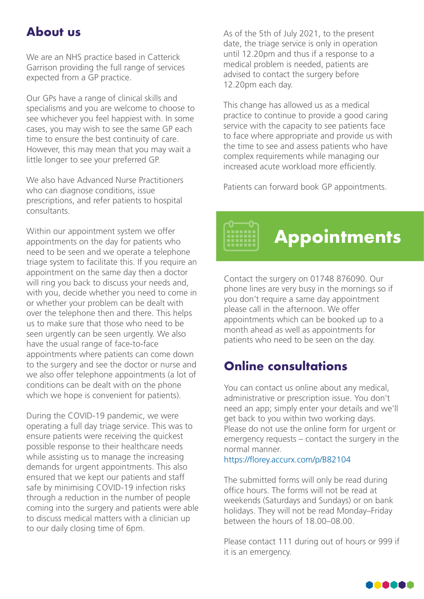### **About us**

We are an NHS practice based in Catterick Garrison providing the full range of services expected from a GP practice.

Our GPs have a range of clinical skills and specialisms and you are welcome to choose to see whichever you feel happiest with. In some cases, you may wish to see the same GP each time to ensure the best continuity of care. However, this may mean that you may wait a little longer to see your preferred GP.

We also have Advanced Nurse Practitioners who can diagnose conditions, issue prescriptions, and refer patients to hospital consultants.

Within our appointment system we offer appointments on the day for patients who need to be seen and we operate a telephone triage system to facilitate this. If you require an appointment on the same day then a doctor will ring you back to discuss your needs and, with you, decide whether you need to come in or whether your problem can be dealt with over the telephone then and there. This helps us to make sure that those who need to be seen urgently can be seen urgently. We also have the usual range of face-to-face appointments where patients can come down to the surgery and see the doctor or nurse and we also offer telephone appointments (a lot of conditions can be dealt with on the phone which we hope is convenient for patients).

During the COVID-19 pandemic, we were operating a full day triage service. This was to ensure patients were receiving the quickest possible response to their healthcare needs while assisting us to manage the increasing demands for urgent appointments. This also ensured that we kept our patients and staff safe by minimising COVID-19 infection risks through a reduction in the number of people coming into the surgery and patients were able to discuss medical matters with a clinician up to our daily closing time of 6pm.

As of the 5th of July 2021, to the present date, the triage service is only in operation until 12.20pm and thus if a response to a medical problem is needed, patients are advised to contact the surgery before 12.20pm each day.

This change has allowed us as a medical practice to continue to provide a good caring service with the capacity to see patients face to face where appropriate and provide us with the time to see and assess patients who have complex requirements while managing our increased acute workload more efficiently.

Patients can forward book GP appointments.

Contact the surgery on 01748 876090. Our phone lines are very busy in the mornings so if you don't require a same day appointment please call in the afternoon. We offer appointments which can be booked up to a month ahead as well as appointments for patients who need to be seen on the day.

**Appointments**

### **Online consultations**

You can contact us online about any medical, administrative or prescription issue. You don't need an app; simply enter your details and we'll get back to you within two working days. Please do not use the online form for urgent or emergency requests – contact the surgery in the normal manner.

#### https://florey.accurx.com/p/B82104

The submitted forms will only be read during office hours. The forms will not be read at weekends (Saturdays and Sundays) or on bank holidays. They will not be read Monday–Friday between the hours of 18.00–08.00.

Please contact 111 during out of hours or 999 if it is an emergency.

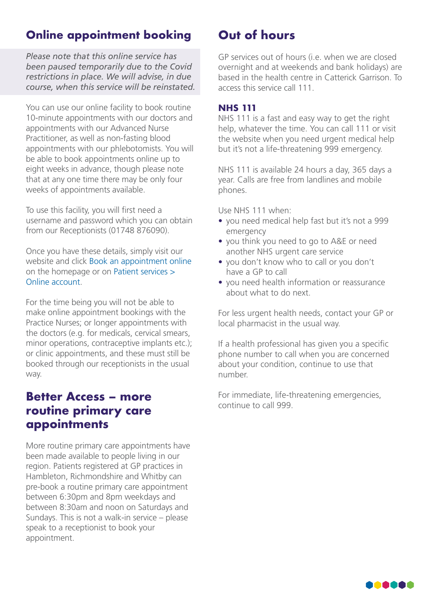### **Online appointment booking**

*Please note that this online service has been paused temporarily due to the Covid restrictions in place. We will advise, in due course, when this service will be reinstated.*

You can use our online facility to book routine 10-minute appointments with our doctors and appointments with our Advanced Nurse Practitioner, as well as non-fasting blood appointments with our phlebotomists. You will be able to book appointments online up to eight weeks in advance, though please note that at any one time there may be only four weeks of appointments available.

To use this facility, you will first need a username and password which you can obtain from our Receptionists (01748 876090).

Once you have these details, simply visit our website and click Book an appointment online on the homepage or on Patient services > Online account.

For the time being you will not be able to make online appointment bookings with the Practice Nurses; or longer appointments with the doctors (e.g. for medicals, cervical smears, minor operations, contraceptive implants etc.); or clinic appointments, and these must still be booked through our receptionists in the usual way.

### **Better Access – more routine primary care appointments**

More routine primary care appointments have been made available to people living in our region. Patients registered at GP practices in Hambleton, Richmondshire and Whitby can pre-book a routine primary care appointment between 6:30pm and 8pm weekdays and between 8:30am and noon on Saturdays and Sundays. This is not a walk-in service – please speak to a receptionist to book your appointment.

### **Out of hours**

GP services out of hours (i.e. when we are closed overnight and at weekends and bank holidays) are based in the health centre in Catterick Garrison. To access this service call 111.

### **NHS 111**

NHS 111 is a fast and easy way to get the right help, whatever the time. You can call 111 or visit the website when you need urgent medical help but it's not a life-threatening 999 emergency.

NHS 111 is available 24 hours a day, 365 days a year. Calls are free from landlines and mobile phones.

Use NHS 111 when:

- you need medical help fast but it's not a 999 emergency
- you think you need to go to A&E or need another NHS urgent care service
- you don't know who to call or you don't have a GP to call
- you need health information or reassurance about what to do next.

For less urgent health needs, contact your GP or local pharmacist in the usual way.

If a health professional has given you a specific phone number to call when you are concerned about your condition, continue to use that number.

For immediate, life-threatening emergencies, continue to call 999.

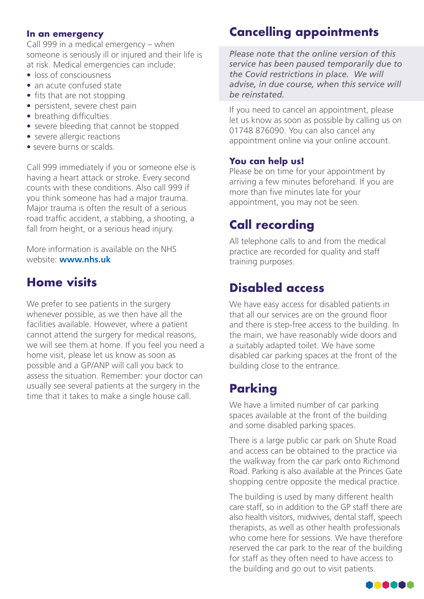### **In an emergency**

Call 999 in a medical emergency – when someone is seriously ill or injured and their life is at risk. Medical emergencies can include:

- loss of consciousness
- an acute confused state
- fits that are not stopping
- persistent, severe chest pain
- breathing difficulties
- severe bleeding that cannot be stopped
- severe allergic reactions
- severe burns or scalds.

Call 999 immediately if you or someone else is having a heart attack or stroke. Every second counts with these conditions. Also call 999 if you think someone has had a major trauma. Major trauma is often the result of a serious road traffic accident, a stabbing, a shooting, a fall from height, or a serious head injury.

More information is available on the NHS website: **www.nhs.uk**

### **Home visits**

We prefer to see patients in the surgery whenever possible, as we then have all the facilities available. However, where a patient cannot attend the surgery for medical reasons, we will see them at home. If you feel you need a home visit, please let us know as soon as possible and a GP/ANP will call you back to assess the situation. Remember: your doctor can usually see several patients at the surgery in the time that it takes to make a single house call.

### **Cancelling appointments**

*Please note that the online version of this service has been paused temporarily due to the Covid restrictions in place. We will advise, in due course, when this service will be reinstated.*

If you need to cancel an appointment, please let us know as soon as possible by calling us on 01748 876090. You can also cancel any appointment online via your online account.

### **You can help us!**

Please be on time for your appointment by arriving a few minutes beforehand. If you are more than five minutes late for your appointment, you may not be seen.

### **Call recording**

All telephone calls to and from the medical practice are recorded for quality and staff training purposes.

### **Disabled access**

We have easy access for disabled patients in that all our services are on the ground floor and there is step-free access to the building. In the main, we have reasonably wide doors and a suitably adapted toilet. We have some disabled car parking spaces at the front of the building close to the entrance.

### **Parking**

We have a limited number of car parking spaces available at the front of the building and some disabled parking spaces.

There is a large public car park on Shute Road and access can be obtained to the practice via the walkway from the car park onto Richmond Road. Parking is also available at the Princes Gate shopping centre opposite the medical practice.

The building is used by many different health care staff, so in addition to the GP staff there are also health visitors, midwives, dental staff, speech therapists, as well as other health professionals who come here for sessions. We have therefore reserved the car park to the rear of the building for staff as they often need to have access to the building and go out to visit patients.

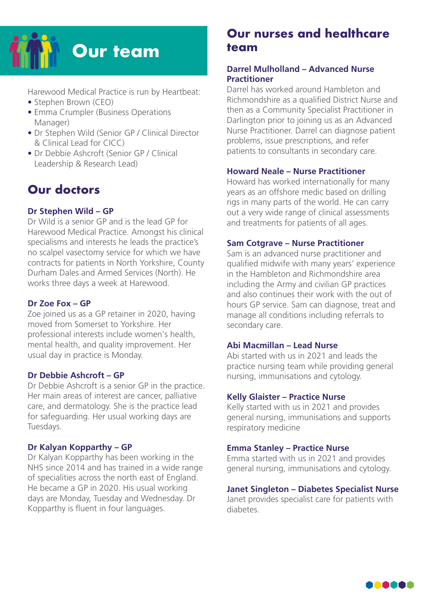

Harewood Medical Practice is run by Heartbeat:

- Stephen Brown (CEO)
- Emma Crumpler (Business Operations Manager)
- Dr Stephen Wild (Senior GP / Clinical Director & Clinical Lead for CICC)
- Dr Debbie Ashcroft (Senior GP / Clinical Leadership & Research Lead)

### **Our doctors**

### **Dr Stephen Wild – GP**

Dr Wild is a senior GP and is the lead GP for Harewood Medical Practice. Amongst his clinical specialisms and interests he leads the practice's no scalpel vasectomy service for which we have contracts for patients in North Yorkshire, County Durham Dales and Armed Services (North). He works three days a week at Harewood.

#### **Dr Zoe Fox – GP**

Zoe joined us as a GP retainer in 2020, having moved from Somerset to Yorkshire. Her professional interests include women's health, mental health, and quality improvement. Her usual day in practice is Monday.

#### **Dr Debbie Ashcroft – GP**

Dr Debbie Ashcroft is a senior GP in the practice. Her main areas of interest are cancer, palliative care, and dermatology. She is the practice lead for safeguarding. Her usual working days are Tuesdays.

#### **Dr Kalyan Kopparthy – GP**

Dr Kalyan Kopparthy has been working in the NHS since 2014 and has trained in a wide range of specialities across the north east of England. He became a GP in 2020. His usual working days are Monday, Tuesday and Wednesday. Dr Kopparthy is fluent in four languages.

### **Our nurses and healthcare team**

### **Darrel Mulholland – Advanced Nurse Practitioner**

Darrel has worked around Hambleton and Richmondshire as a qualified District Nurse and then as a Community Specialist Practitioner in Darlington prior to joining us as an Advanced Nurse Practitioner. Darrel can diagnose patient problems, issue prescriptions, and refer patients to consultants in secondary care.

#### **Howard Neale – Nurse Practitioner**

Howard has worked internationally for many years as an offshore medic based on drilling rigs in many parts of the world. He can carry out a very wide range of clinical assessments and treatments for patients of all ages.

#### **Sam Cotgrave – Nurse Practitioner**

Sam is an advanced nurse practitioner and qualified midwife with many years' experience in the Hambleton and Richmondshire area including the Army and civilian GP practices and also continues their work with the out of hours GP service. Sam can diagnose, treat and manage all conditions including referrals to secondary care.

#### **Abi Macmillan – Lead Nurse**

Abi started with us in 2021 and leads the practice nursing team while providing general nursing, immunisations and cytology.

#### **Kelly Glaister – Practice Nurse**

Kelly started with us in 2021 and provides general nursing, immunisations and supports respiratory medicine

#### **Emma Stanley – Practice Nurse**

Emma started with us in 2021 and provides general nursing, immunisations and cytology.

#### **Janet Singleton – Diabetes Specialist Nurse**

Janet provides specialist care for patients with diabetes.

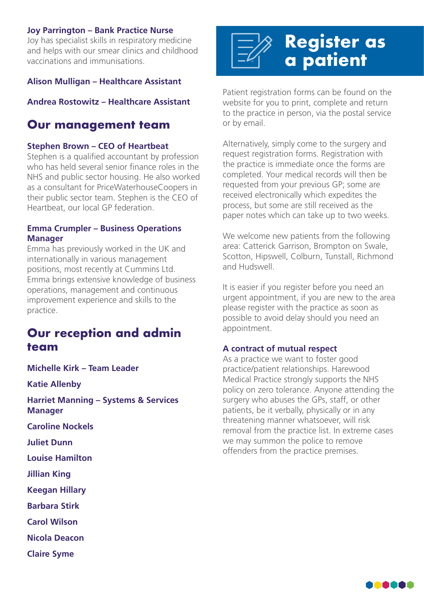#### **Joy Parrington – Bank Practice Nurse**

Joy has specialist skills in respiratory medicine and helps with our smear clinics and childhood vaccinations and immunisations.

#### **Alison Mulligan – Healthcare Assistant**

**Andrea Rostowitz – Healthcare Assistant**

### **Our management team**

### **Stephen Brown – CEO of Heartbeat**

Stephen is a qualified accountant by profession who has held several senior finance roles in the NHS and public sector housing. He also worked as a consultant for PriceWaterhouseCoopers in their public sector team. Stephen is the CEO of Heartbeat, our local GP federation.

### **Emma Crumpler – Business Operations Manager**

Emma has previously worked in the UK and internationally in various management positions, most recently at Cummins Ltd. Emma brings extensive knowledge of business operations, management and continuous improvement experience and skills to the practice.

### **Our reception and admin team**

**Michelle Kirk – Team Leader**

**Katie Allenby**

**Harriet Manning – Systems & Services Manager**

**Caroline Nockels**

**Juliet Dunn**

**Louise Hamilton**

**Jillian King**

**Keegan Hillary**

**Barbara Stirk**

**Carol Wilson**

**Nicola Deacon**

**Claire Syme**



Patient registration forms can be found on the website for you to print, complete and return to the practice in person, via the postal service or by email.

Alternatively, simply come to the surgery and request registration forms. Registration with the practice is immediate once the forms are completed. Your medical records will then be requested from your previous GP; some are received electronically which expedites the process, but some are still received as the paper notes which can take up to two weeks.

We welcome new patients from the following area: Catterick Garrison, Brompton on Swale, Scotton, Hipswell, Colburn, Tunstall, Richmond and Hudswell.

It is easier if you register before you need an urgent appointment, if you are new to the area please register with the practice as soon as possible to avoid delay should you need an appointment.

### **A contract of mutual respect**

As a practice we want to foster good practice/patient relationships. Harewood Medical Practice strongly supports the NHS policy on zero tolerance. Anyone attending the surgery who abuses the GPs, staff, or other patients, be it verbally, physically or in any threatening manner whatsoever, will risk removal from the practice list. In extreme cases we may summon the police to remove offenders from the practice premises.

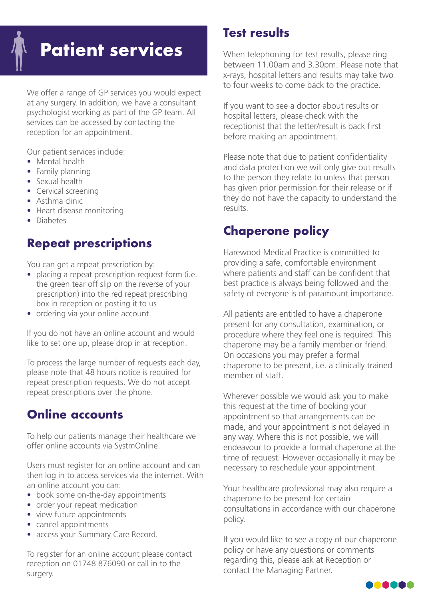# **Patient services**

We offer a range of GP services you would expect at any surgery. In addition, we have a consultant psychologist working as part of the GP team. All services can be accessed by contacting the reception for an appointment.

Our patient services include:

- Mental health
- Family planning
- Sexual health
- Cervical screening
- Asthma clinic
- Heart disease monitoring
- Diabetes

### **Repeat prescriptions**

You can get a repeat prescription by:

- placing a repeat prescription request form (i.e. the green tear off slip on the reverse of your prescription) into the red repeat prescribing box in reception or posting it to us
- ordering via your online account.

If you do not have an online account and would like to set one up, please drop in at reception.

To process the large number of requests each day, please note that 48 hours notice is required for repeat prescription requests. We do not accept repeat prescriptions over the phone.

### **Online accounts**

To help our patients manage their healthcare we offer online accounts via SystmOnline.

Users must register for an online account and can then log in to access services via the internet. With an online account you can:

- book some on-the-day appointments
- order your repeat medication
- view future appointments
- cancel appointments
- access your Summary Care Record.

To register for an online account please contact reception on 01748 876090 or call in to the surgery.

### **Test results**

When telephoning for test results, please ring between 11.00am and 3.30pm. Please note that x-rays, hospital letters and results may take two to four weeks to come back to the practice.

If you want to see a doctor about results or hospital letters, please check with the receptionist that the letter/result is back first before making an appointment.

Please note that due to patient confidentiality and data protection we will only give out results to the person they relate to unless that person has given prior permission for their release or if they do not have the capacity to understand the results.

### **Chaperone policy**

Harewood Medical Practice is committed to providing a safe, comfortable environment where patients and staff can be confident that best practice is always being followed and the safety of everyone is of paramount importance.

All patients are entitled to have a chaperone present for any consultation, examination, or procedure where they feel one is required. This chaperone may be a family member or friend. On occasions you may prefer a formal chaperone to be present, i.e. a clinically trained member of staff.

Wherever possible we would ask you to make this request at the time of booking your appointment so that arrangements can be made, and your appointment is not delayed in any way. Where this is not possible, we will endeavour to provide a formal chaperone at the time of request. However occasionally it may be necessary to reschedule your appointment.

Your healthcare professional may also require a chaperone to be present for certain consultations in accordance with our chaperone policy.

If you would like to see a copy of our chaperone policy or have any questions or comments regarding this, please ask at Reception or contact the Managing Partner.

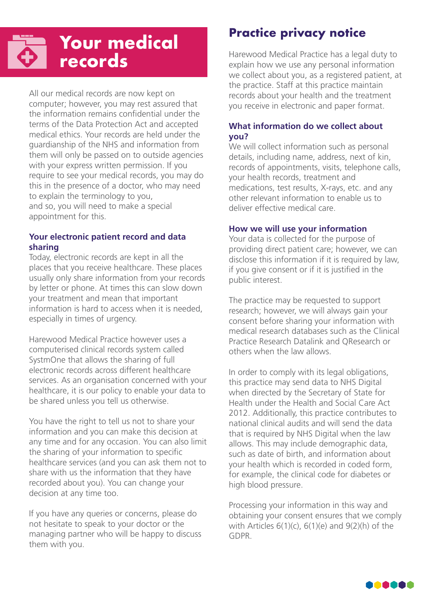## **Your medical records**

All our medical records are now kept on computer; however, you may rest assured that the information remains confidential under the terms of the Data Protection Act and accepted medical ethics. Your records are held under the guardianship of the NHS and information from them will only be passed on to outside agencies with your express written permission. If you require to see your medical records, you may do this in the presence of a doctor, who may need to explain the terminology to you, and so, you will need to make a special appointment for this.

### **Your electronic patient record and data sharing**

Today, electronic records are kept in all the places that you receive healthcare. These places usually only share information from your records by letter or phone. At times this can slow down your treatment and mean that important information is hard to access when it is needed, especially in times of urgency.

Harewood Medical Practice however uses a computerised clinical records system called SystmOne that allows the sharing of full electronic records across different healthcare services. As an organisation concerned with your healthcare, it is our policy to enable your data to be shared unless you tell us otherwise.

You have the right to tell us not to share your information and you can make this decision at any time and for any occasion. You can also limit the sharing of your information to specific healthcare services (and you can ask them not to share with us the information that they have recorded about you). You can change your decision at any time too.

If you have any queries or concerns, please do not hesitate to speak to your doctor or the managing partner who will be happy to discuss them with you.

### **Practice privacy notice**

Harewood Medical Practice has a legal duty to explain how we use any personal information we collect about you, as a registered patient, at the practice. Staff at this practice maintain records about your health and the treatment you receive in electronic and paper format.

### **What information do we collect about you?**

We will collect information such as personal details, including name, address, next of kin, records of appointments, visits, telephone calls, your health records, treatment and medications, test results, X-rays, etc. and any other relevant information to enable us to deliver effective medical care.

### **How we will use your information**

Your data is collected for the purpose of providing direct patient care; however, we can disclose this information if it is required by law, if you give consent or if it is justified in the public interest.

The practice may be requested to support research; however, we will always gain your consent before sharing your information with medical research databases such as the Clinical Practice Research Datalink and QResearch or others when the law allows.

In order to comply with its legal obligations, this practice may send data to NHS Digital when directed by the Secretary of State for Health under the Health and Social Care Act 2012. Additionally, this practice contributes to national clinical audits and will send the data that is required by NHS Digital when the law allows. This may include demographic data, such as date of birth, and information about your health which is recorded in coded form, for example, the clinical code for diabetes or high blood pressure.

Processing your information in this way and obtaining your consent ensures that we comply with Articles 6(1)(c), 6(1)(e) and 9(2)(h) of the GDPR.

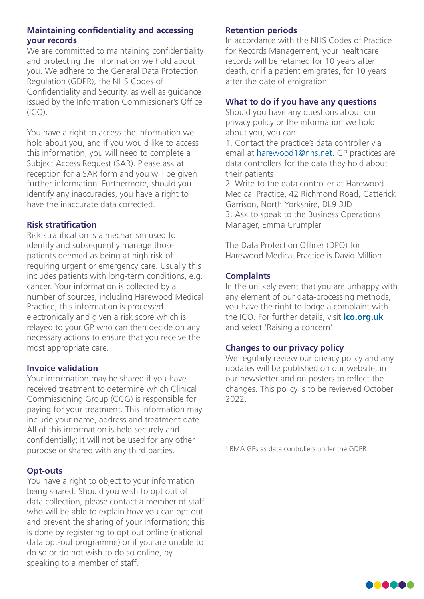### **Maintaining confidentiality and accessing your records**

We are committed to maintaining confidentiality and protecting the information we hold about you. We adhere to the General Data Protection Regulation (GDPR), the NHS Codes of Confidentiality and Security, as well as guidance issued by the Information Commissioner's Office  $(ICO)$ .

You have a right to access the information we hold about you, and if you would like to access this information, you will need to complete a Subject Access Request (SAR). Please ask at reception for a SAR form and you will be given further information. Furthermore, should you identify any inaccuracies, you have a right to have the inaccurate data corrected.

### **Risk stratification**

Risk stratification is a mechanism used to identify and subsequently manage those patients deemed as being at high risk of requiring urgent or emergency care. Usually this includes patients with long-term conditions, e.g. cancer. Your information is collected by a number of sources, including Harewood Medical Practice; this information is processed electronically and given a risk score which is relayed to your GP who can then decide on any necessary actions to ensure that you receive the most appropriate care.

#### **Invoice validation**

Your information may be shared if you have received treatment to determine which Clinical Commissioning Group (CCG) is responsible for paying for your treatment. This information may include your name, address and treatment date. All of this information is held securely and confidentially; it will not be used for any other purpose or shared with any third parties.

#### **Opt-outs**

You have a right to object to your information being shared. Should you wish to opt out of data collection, please contact a member of staff who will be able to explain how you can opt out and prevent the sharing of your information; this is done by registering to opt out online (national data opt-out programme) or if you are unable to do so or do not wish to do so online, by speaking to a member of staff.

### **Retention periods**

In accordance with the NHS Codes of Practice for Records Management, your healthcare records will be retained for 10 years after death, or if a patient emigrates, for 10 years after the date of emigration.

#### **What to do if you have any questions**

Should you have any questions about our privacy policy or the information we hold about you, you can:

1. Contact the practice's data controller via email at harewood1@nhs.net. GP practices are data controllers for the data they hold about their patients<sup>1</sup>

2. Write to the data controller at Harewood Medical Practice, 42 Richmond Road, Catterick Garrison, North Yorkshire, DL9 3JD 3. Ask to speak to the Business Operations Manager, Emma Crumpler

The Data Protection Officer (DPO) for Harewood Medical Practice is David Million.

### **Complaints**

In the unlikely event that you are unhappy with any element of our data-processing methods, you have the right to lodge a complaint with the ICO. For further details, visit **ico.org.uk** and select 'Raising a concern'.

### **Changes to our privacy policy**

We regularly review our privacy policy and any updates will be published on our website, in our newsletter and on posters to reflect the changes. This policy is to be reviewed October 2022.

1 BMA GPs as data controllers under the GDPR

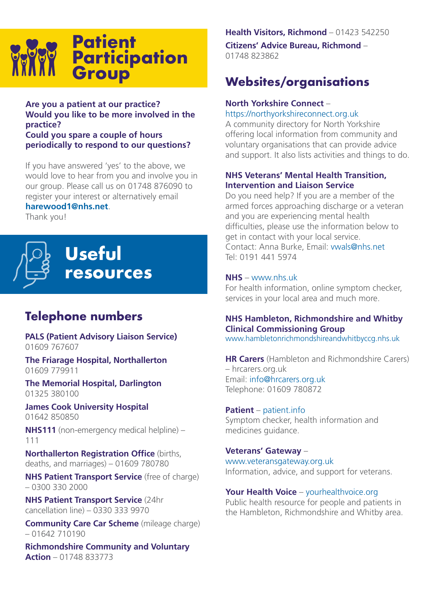

### **Are you a patient at our practice? Would you like to be more involved in the practice?**

**Could you spare a couple of hours periodically to respond to our questions?**

If you have answered 'yes' to the above, we would love to hear from you and involve you in our group. Please call us on 01748 876090 to register your interest or alternatively email

### **harewood1@nhs.net**.

Thank you!



### **Telephone numbers**

**PALS (Patient Advisory Liaison Service)** 01609 767607

**The Friarage Hospital, Northallerton** 01609 779911

**The Memorial Hospital, Darlington**  01325 380100

**James Cook University Hospital**  01642 850850

**NHS111** (non-emergency medical helpline) – 111

**Northallerton Registration Office** (births, deaths, and marriages) – 01609 780780

**NHS Patient Transport Service** (free of charge) – 0300 330 2000

**NHS Patient Transport Service** (24hr cancellation line) – 0330 333 9970

**Community Care Car Scheme** (mileage charge) – 01642 710190

**Richmondshire Community and Voluntary Action** – 01748 833773

#### **Health Visitors, Richmond** – 01423 542250

**Citizens' Advice Bureau, Richmond** – 01748 823862

### **Websites/organisations**

### **North Yorkshire Connect** –

https://northyorkshireconnect.org.uk

A community directory for North Yorkshire offering local information from community and voluntary organisations that can provide advice and support. It also lists activities and things to do.

#### **NHS Veterans' Mental Health Transition, Intervention and Liaison Service**

Do you need help? If you are a member of the armed forces approaching discharge or a veteran and you are experiencing mental health difficulties, please use the information below to get in contact with your local service. Contact: Anna Burke, Email: vwals@nhs.net Tel: 0191 441 5974

#### **NHS** – www.nhs.uk

For health information, online symptom checker, services in your local area and much more.

### **NHS Hambleton, Richmondshire and Whitby Clinical Commissioning Group**

www.hambletonrichmondshireandwhitbyccg.nhs.uk

**HR Carers** (Hambleton and Richmondshire Carers) – hrcarers.org.uk Email: info@hrcarers.org.uk Telephone: 01609 780872

#### **Patient** – patient.info

Symptom checker, health information and medicines guidance.

**Veterans' Gateway** – www.veteransgateway.org.uk Information, advice, and support for veterans.

Your Health Voice - yourhealthvoice.org

Public health resource for people and patients in the Hambleton, Richmondshire and Whitby area.